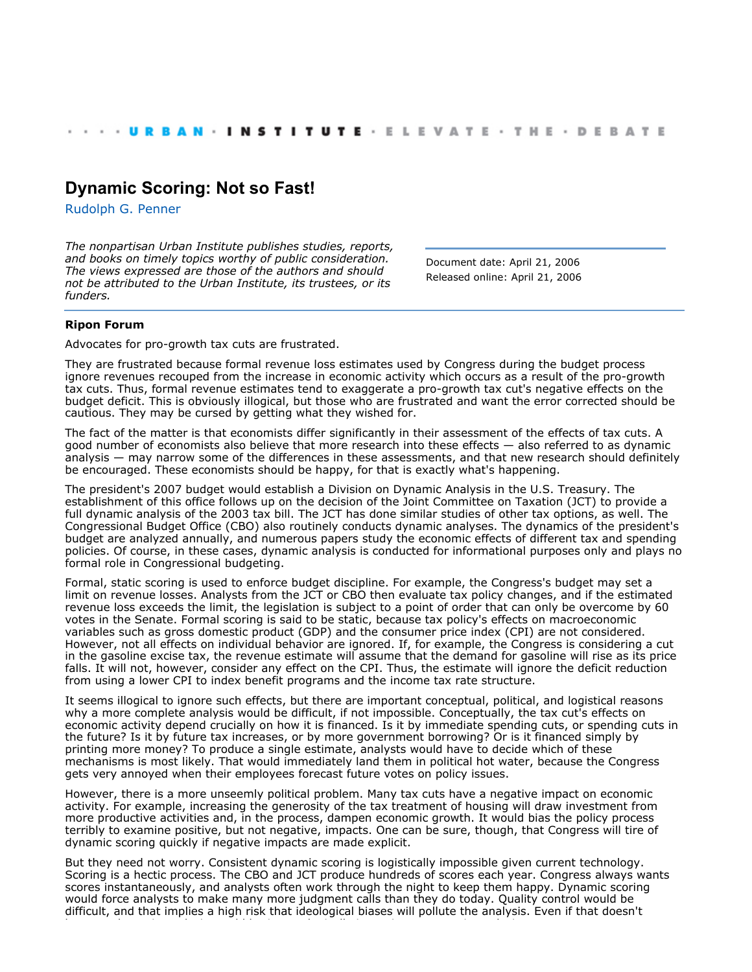## **[Dynamic Scoring: Not so Fast!](http://webarchive.urban.org/index.cfm)**

[Rudolph G. Penner](http://www.urban.org/RudolphGPenner)

*The nonpartisan Urban Institute publishes studies, reports, and books on timely topics worthy of public consideration. The views expressed are those of the authors and should not be attributed to the Urban Institute, its trustees, or its funders.*

Document date: April 21, 2006 Released online: April 21, 2006

## **Ripon Forum**

Advocates for pro-growth tax cuts are frustrated.

They are frustrated because formal revenue loss estimates used by Congress during the budget process ignore revenues recouped from the increase in economic activity which occurs as a result of the pro-growth tax cuts. Thus, formal revenue estimates tend to exaggerate a pro-growth tax cut's negative effects on the budget deficit. This is obviously illogical, but those who are frustrated and want the error corrected should be cautious. They may be cursed by getting what they wished for.

The fact of the matter is that economists differ significantly in their assessment of the effects of tax cuts. A good number of economists also believe that more research into these effects — also referred to as dynamic analysis — may narrow some of the differences in these assessments, and that new research should definitely be encouraged. These economists should be happy, for that is exactly what's happening.

The president's 2007 budget would establish a Division on Dynamic Analysis in the U.S. Treasury. The establishment of this office follows up on the decision of the Joint Committee on Taxation (JCT) to provide a full dynamic analysis of the 2003 tax bill. The JCT has done similar studies of other tax options, as well. The Congressional Budget Office (CBO) also routinely conducts dynamic analyses. The dynamics of the president's budget are analyzed annually, and numerous papers study the economic effects of different tax and spending policies. Of course, in these cases, dynamic analysis is conducted for informational purposes only and plays no formal role in Congressional budgeting.

Formal, static scoring is used to enforce budget discipline. For example, the Congress's budget may set a limit on revenue losses. Analysts from the JCT or CBO then evaluate tax policy changes, and if the estimated revenue loss exceeds the limit, the legislation is subject to a point of order that can only be overcome by 60 votes in the Senate. Formal scoring is said to be static, because tax policy's effects on macroeconomic variables such as gross domestic product (GDP) and the consumer price index (CPI) are not considered. However, not all effects on individual behavior are ignored. If, for example, the Congress is considering a cut in the gasoline excise tax, the revenue estimate will assume that the demand for gasoline will rise as its price falls. It will not, however, consider any effect on the CPI. Thus, the estimate will ignore the deficit reduction from using a lower CPI to index benefit programs and the income tax rate structure.

It seems illogical to ignore such effects, but there are important conceptual, political, and logistical reasons why a more complete analysis would be difficult, if not impossible. Conceptually, the tax cut's effects on economic activity depend crucially on how it is financed. Is it by immediate spending cuts, or spending cuts in the future? Is it by future tax increases, or by more government borrowing? Or is it financed simply by printing more money? To produce a single estimate, analysts would have to decide which of these mechanisms is most likely. That would immediately land them in political hot water, because the Congress gets very annoyed when their employees forecast future votes on policy issues.

However, there is a more unseemly political problem. Many tax cuts have a negative impact on economic activity. For example, increasing the generosity of the tax treatment of housing will draw investment from more productive activities and, in the process, dampen economic growth. It would bias the policy process terribly to examine positive, but not negative, impacts. One can be sure, though, that Congress will tire of dynamic scoring quickly if negative impacts are made explicit.

But they need not worry. Consistent dynamic scoring is logistically impossible given current technology. Scoring is a hectic process. The CBO and JCT produce hundreds of scores each year. Congress always wants scores instantaneously, and analysts often work through the night to keep them happy. Dynamic scoring would force analysts to make many more judgment calls than they do today. Quality control would be difficult, and that implies a high risk that ideological biases will pollute the analysis. Even if that doesn't